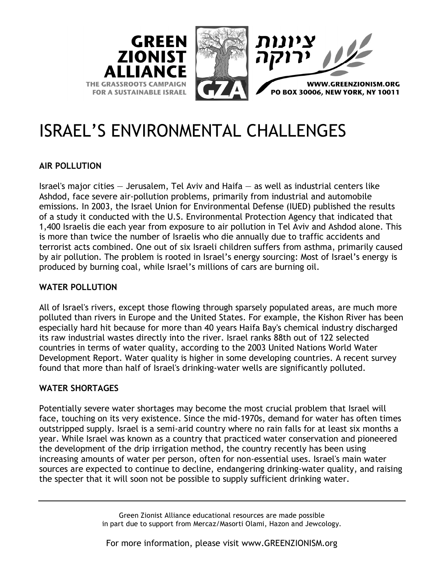

# ISRAEL'S ENVIRONMENTAL CHALLENGES

## **AIR POLLUTION**

Israel's major cities — Jerusalem, Tel Aviv and Haifa — as well as industrial centers like Ashdod, face severe air-pollution problems, primarily from industrial and automobile emissions. In 2003, the Israel Union for Environmental Defense (IUED) published the results of a study it conducted with the U.S. Environmental Protection Agency that indicated that 1,400 Israelis die each year from exposure to air pollution in Tel Aviv and Ashdod alone. This is more than twice the number of Israelis who die annually due to traffic accidents and terrorist acts combined. One out of six Israeli children suffers from asthma, primarily caused by air pollution. The problem is rooted in Israel's energy sourcing: Most of Israel's energy is produced by burning coal, while Israel's millions of cars are burning oil.

## **WATER POLLUTION**

All of Israel's rivers, except those flowing through sparsely populated areas, are much more polluted than rivers in Europe and the United States. For example, the Kishon River has been especially hard hit because for more than 40 years Haifa Bay's chemical industry discharged its raw industrial wastes directly into the river. Israel ranks 88th out of 122 selected countries in terms of water quality, according to the 2003 United Nations World Water Development Report. Water quality is higher in some developing countries. A recent survey found that more than half of Israel's drinking-water wells are significantly polluted.

## **WATER SHORTAGES**

Potentially severe water shortages may become the most crucial problem that Israel will face, touching on its very existence. Since the mid-1970s, demand for water has often times outstripped supply. Israel is a semi-arid country where no rain falls for at least six months a year. While Israel was known as a country that practiced water conservation and pioneered the development of the drip irrigation method, the country recently has been using increasing amounts of water per person, often for non-essential uses. Israel's main water sources are expected to continue to decline, endangering drinking-water quality, and raising the specter that it will soon not be possible to supply sufficient drinking water.

> Green Zionist Alliance educational resources are made possible in part due to support from Mercaz/Masorti Olami, Hazon and Jewcology.

For more information, please visit www.GREENZIONISM.org